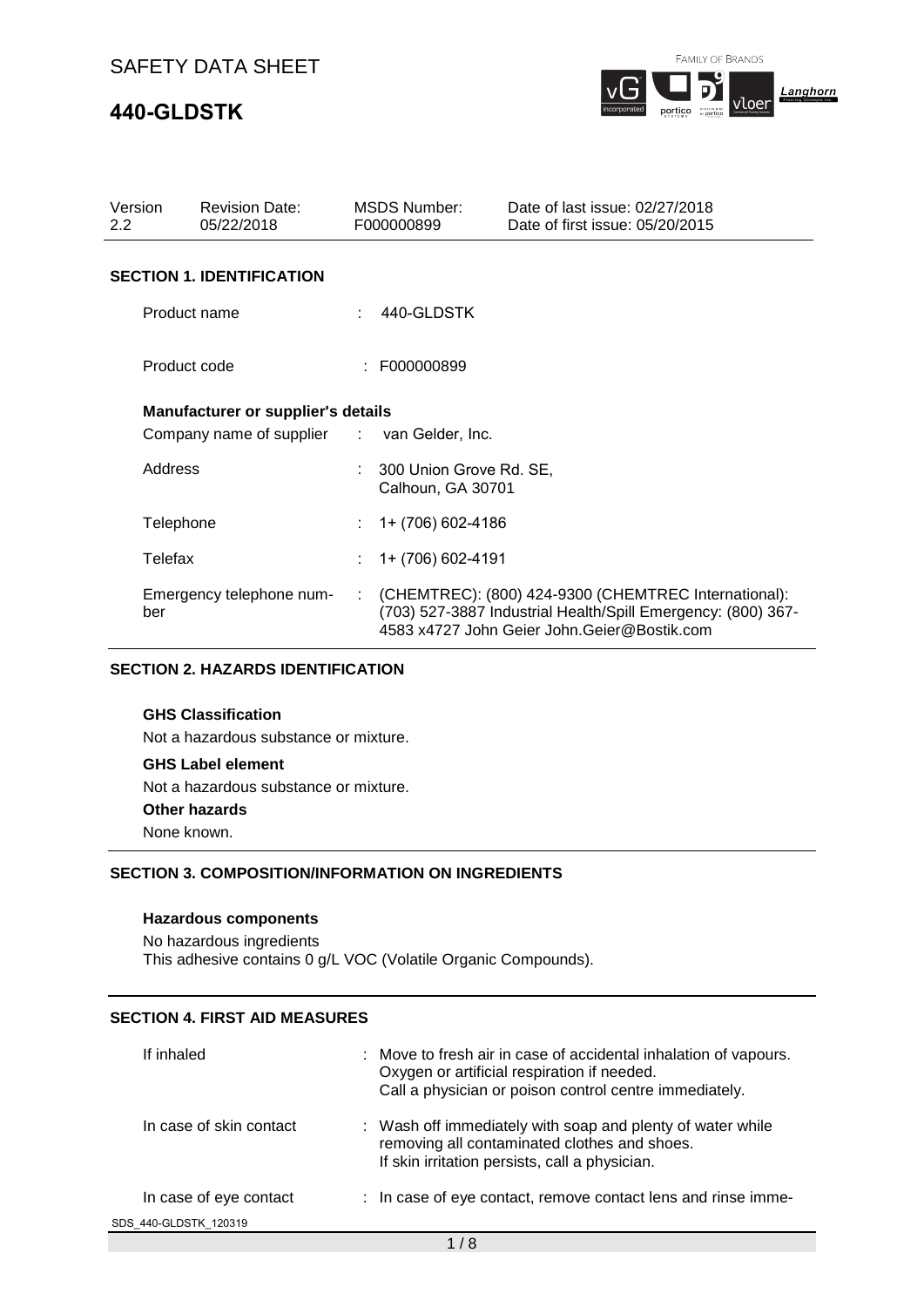# **440-GLDSTK**

FAMILY OF BRANDS



| Version<br>$2.2\phantom{0}$ |              | <b>Revision Date:</b><br>05/22/2018         |    | <b>MSDS Number:</b><br>F000000899            | Date of last issue: 02/27/2018<br>Date of first issue: 05/20/2015                                                                                                   |
|-----------------------------|--------------|---------------------------------------------|----|----------------------------------------------|---------------------------------------------------------------------------------------------------------------------------------------------------------------------|
|                             |              | <b>SECTION 1. IDENTIFICATION</b>            |    |                                              |                                                                                                                                                                     |
|                             | Product name |                                             |    | 440-GLDSTK                                   |                                                                                                                                                                     |
|                             | Product code |                                             |    | F000000899                                   |                                                                                                                                                                     |
|                             |              | <b>Manufacturer or supplier's details</b>   |    |                                              |                                                                                                                                                                     |
|                             |              | Company name of supplier : van Gelder, Inc. |    |                                              |                                                                                                                                                                     |
|                             | Address      |                                             |    | 300 Union Grove Rd. SE,<br>Calhoun, GA 30701 |                                                                                                                                                                     |
|                             | Telephone    |                                             |    | 1+ (706) 602-4186                            |                                                                                                                                                                     |
|                             | Telefax      |                                             |    | 1+ (706) 602-4191                            |                                                                                                                                                                     |
|                             | ber          | Emergency telephone num-                    | ÷. |                                              | (CHEMTREC): (800) 424-9300 (CHEMTREC International):<br>(703) 527-3887 Industrial Health/Spill Emergency: (800) 367-<br>4583 x4727 John Geier John.Geier@Bostik.com |

### **SECTION 2. HAZARDS IDENTIFICATION**

### **GHS Classification**

Not a hazardous substance or mixture.

#### **GHS Label element**

Not a hazardous substance or mixture.

#### **Other hazards**

None known.

### **SECTION 3. COMPOSITION/INFORMATION ON INGREDIENTS**

#### **Hazardous components**

No hazardous ingredients This adhesive contains 0 g/L VOC (Volatile Organic Compounds).

## **SECTION 4. FIRST AID MEASURES**

| If inhaled              | : Move to fresh air in case of accidental inhalation of vapours.<br>Oxygen or artificial respiration if needed.<br>Call a physician or poison control centre immediately. |
|-------------------------|---------------------------------------------------------------------------------------------------------------------------------------------------------------------------|
| In case of skin contact | : Wash off immediately with soap and plenty of water while<br>removing all contaminated clothes and shoes.<br>If skin irritation persists, call a physician.              |
| In case of eye contact  | : In case of eye contact, remove contact lens and rinse imme-                                                                                                             |
| SDS 440-GLDSTK 120319   |                                                                                                                                                                           |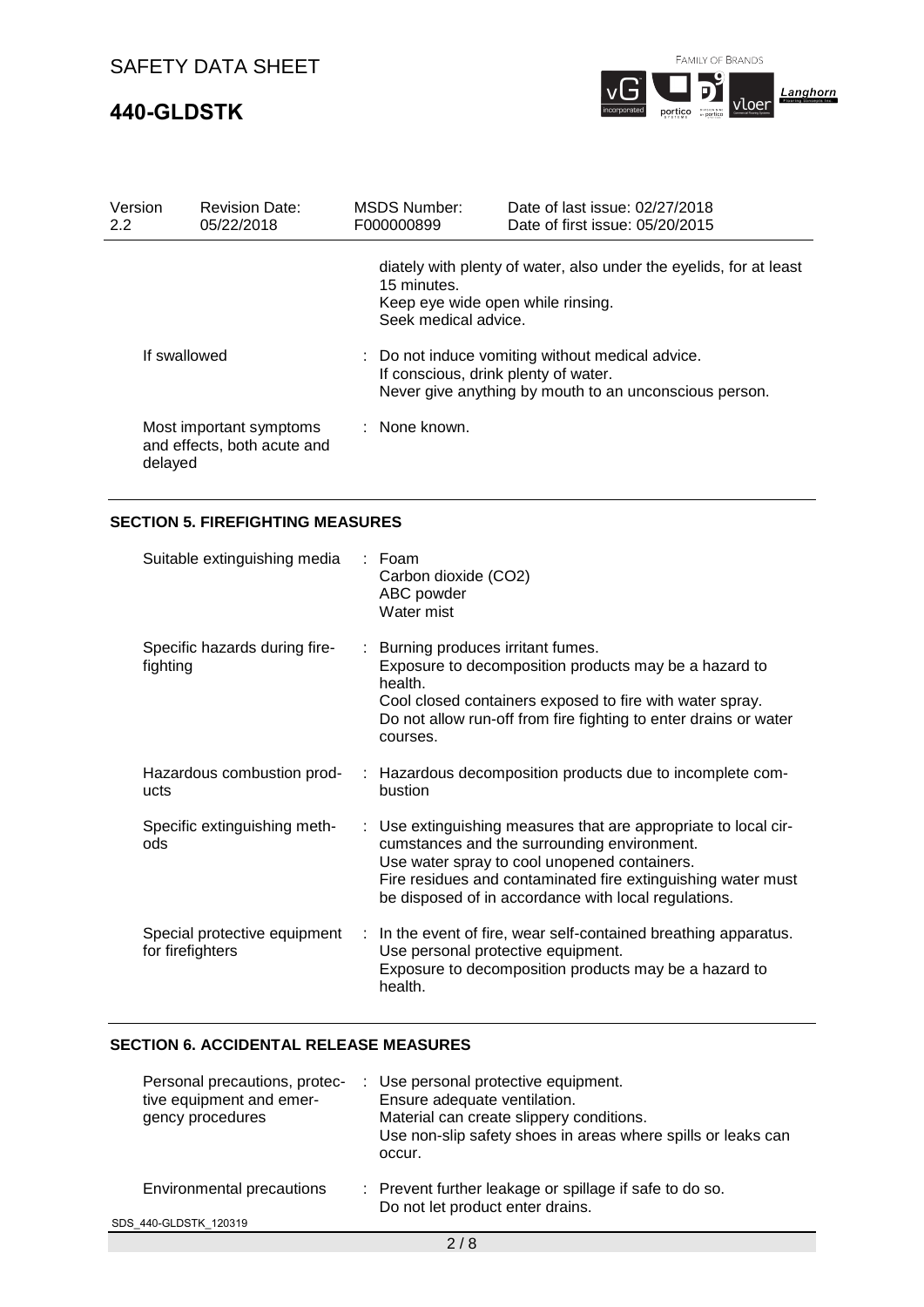# **440-GLDSTK**



| Version<br>$2.2^{\circ}$ | <b>Revision Date:</b><br>05/22/2018                               | MSDS Number:<br>F000000899                                               | Date of last issue: 02/27/2018<br>Date of first issue: 05/20/2015                                          |
|--------------------------|-------------------------------------------------------------------|--------------------------------------------------------------------------|------------------------------------------------------------------------------------------------------------|
|                          |                                                                   | 15 minutes.<br>Keep eye wide open while rinsing.<br>Seek medical advice. | diately with plenty of water, also under the eyelids, for at least                                         |
|                          | If swallowed                                                      | If conscious, drink plenty of water.                                     | : Do not induce vomiting without medical advice.<br>Never give anything by mouth to an unconscious person. |
|                          | Most important symptoms<br>and effects, both acute and<br>delayed | : None known.                                                            |                                                                                                            |

## **SECTION 5. FIREFIGHTING MEASURES**

| Suitable extinguishing media                     |    | : Foam<br>Carbon dioxide (CO2)<br>ABC powder<br>Water mist                                                                                                                                                                                                                             |
|--------------------------------------------------|----|----------------------------------------------------------------------------------------------------------------------------------------------------------------------------------------------------------------------------------------------------------------------------------------|
| Specific hazards during fire-<br>fighting        |    | : Burning produces irritant fumes.<br>Exposure to decomposition products may be a hazard to<br>health.<br>Cool closed containers exposed to fire with water spray.<br>Do not allow run-off from fire fighting to enter drains or water<br>courses.                                     |
| Hazardous combustion prod-<br>ucts               |    | : Hazardous decomposition products due to incomplete com-<br>bustion                                                                                                                                                                                                                   |
| Specific extinguishing meth-<br>ods              |    | : Use extinguishing measures that are appropriate to local cir-<br>cumstances and the surrounding environment.<br>Use water spray to cool unopened containers.<br>Fire residues and contaminated fire extinguishing water must<br>be disposed of in accordance with local regulations. |
| Special protective equipment<br>for firefighters | ÷. | In the event of fire, wear self-contained breathing apparatus.<br>Use personal protective equipment.<br>Exposure to decomposition products may be a hazard to<br>health.                                                                                                               |

## **SECTION 6. ACCIDENTAL RELEASE MEASURES**

| Personal precautions, protec-<br>tive equipment and emer-<br>gency procedures | : Use personal protective equipment.<br>Ensure adequate ventilation.<br>Material can create slippery conditions.<br>Use non-slip safety shoes in areas where spills or leaks can<br>occur. |
|-------------------------------------------------------------------------------|--------------------------------------------------------------------------------------------------------------------------------------------------------------------------------------------|
| Environmental precautions                                                     | : Prevent further leakage or spillage if safe to do so.<br>Do not let product enter drains.                                                                                                |
| SDS 440-GLDSTK 120319                                                         |                                                                                                                                                                                            |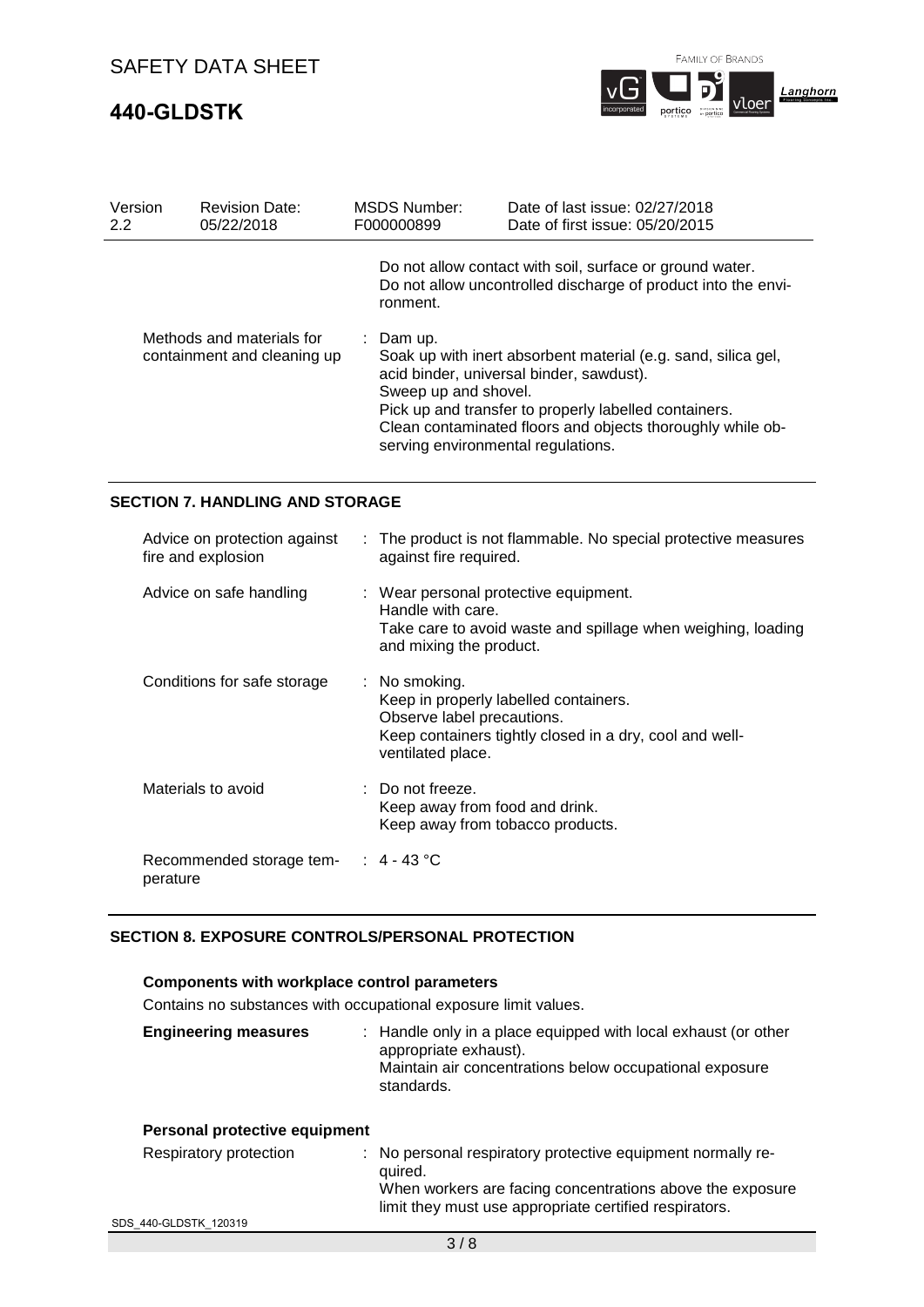# **440-GLDSTK**



| Version<br>2.2 | <b>Revision Date:</b><br>05/22/2018                      | <b>MSDS Number:</b><br>F000000899                                       | Date of last issue: 02/27/2018<br>Date of first issue: 05/20/2015                                                                                                                                                                |
|----------------|----------------------------------------------------------|-------------------------------------------------------------------------|----------------------------------------------------------------------------------------------------------------------------------------------------------------------------------------------------------------------------------|
|                |                                                          | ronment.                                                                | Do not allow contact with soil, surface or ground water.<br>Do not allow uncontrolled discharge of product into the envi-                                                                                                        |
|                | Methods and materials for<br>containment and cleaning up | : Dam up.<br>Sweep up and shovel.<br>serving environmental regulations. | Soak up with inert absorbent material (e.g. sand, silica gel,<br>acid binder, universal binder, sawdust).<br>Pick up and transfer to properly labelled containers.<br>Clean contaminated floors and objects thoroughly while ob- |

### **SECTION 7. HANDLING AND STORAGE**

| Advice on protection against<br>fire and explosion | : The product is not flammable. No special protective measures<br>against fire required.                                                                                        |
|----------------------------------------------------|---------------------------------------------------------------------------------------------------------------------------------------------------------------------------------|
| Advice on safe handling                            | : Wear personal protective equipment.<br>Handle with care.<br>Take care to avoid waste and spillage when weighing, loading<br>and mixing the product.                           |
| Conditions for safe storage                        | $\therefore$ No smoking.<br>Keep in properly labelled containers.<br>Observe label precautions.<br>Keep containers tightly closed in a dry, cool and well-<br>ventilated place. |
| Materials to avoid                                 | $\therefore$ Do not freeze.<br>Keep away from food and drink.<br>Keep away from tobacco products.                                                                               |
| Recommended storage tem- : 4 - 43 °C<br>perature   |                                                                                                                                                                                 |

### **SECTION 8. EXPOSURE CONTROLS/PERSONAL PROTECTION**

## **Components with workplace control parameters**

Contains no substances with occupational exposure limit values.

| <b>Engineering measures</b> | : Handle only in a place equipped with local exhaust (or other<br>appropriate exhaust).<br>Maintain air concentrations below occupational exposure<br>standards. |
|-----------------------------|------------------------------------------------------------------------------------------------------------------------------------------------------------------|
|                             |                                                                                                                                                                  |

## **Personal protective equipment**

| Respiratory protection | : No personal respiratory protective equipment normally re-<br>quired. |
|------------------------|------------------------------------------------------------------------|
|                        | When workers are facing concentrations above the exposure              |
|                        | limit they must use appropriate certified respirators.                 |
| SDS 440-GLDSTK 120319  |                                                                        |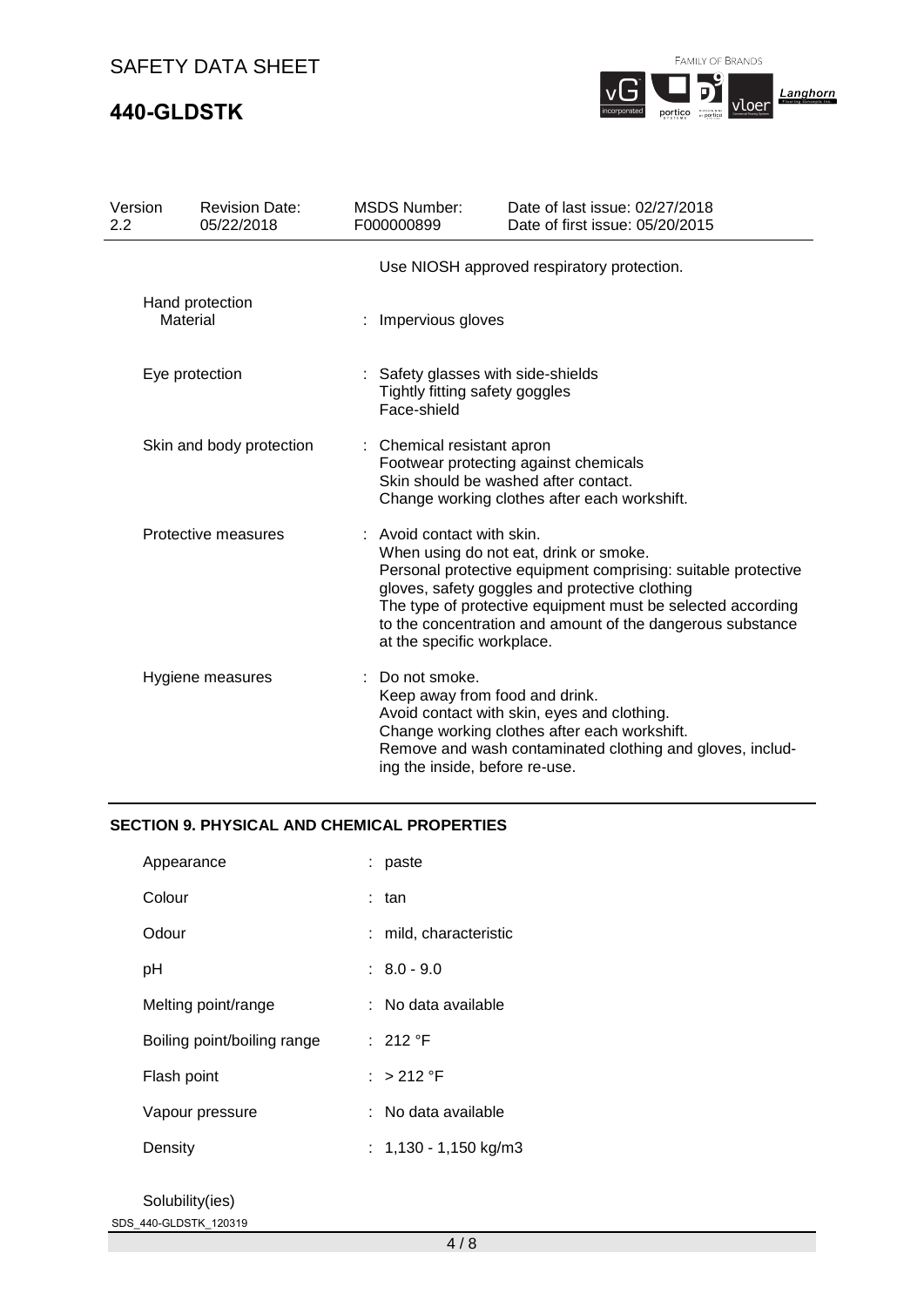# **440-GLDSTK**

FAMILY OF BRANDS



| Version<br>2.2 | <b>Revision Date:</b><br>05/22/2018 | <b>MSDS Number:</b><br>F000000899                                                   | Date of last issue: 02/27/2018<br>Date of first issue: 05/20/2015                                                                                                                                                                                                                      |
|----------------|-------------------------------------|-------------------------------------------------------------------------------------|----------------------------------------------------------------------------------------------------------------------------------------------------------------------------------------------------------------------------------------------------------------------------------------|
|                |                                     |                                                                                     | Use NIOSH approved respiratory protection.                                                                                                                                                                                                                                             |
|                | Hand protection<br>Material         | : Impervious gloves                                                                 |                                                                                                                                                                                                                                                                                        |
|                | Eye protection                      | : Safety glasses with side-shields<br>Tightly fitting safety goggles<br>Face-shield |                                                                                                                                                                                                                                                                                        |
|                | Skin and body protection            | : Chemical resistant apron                                                          | Footwear protecting against chemicals<br>Skin should be washed after contact.<br>Change working clothes after each workshift.                                                                                                                                                          |
|                | Protective measures                 | : Avoid contact with skin.<br>at the specific workplace.                            | When using do not eat, drink or smoke.<br>Personal protective equipment comprising: suitable protective<br>gloves, safety goggles and protective clothing<br>The type of protective equipment must be selected according<br>to the concentration and amount of the dangerous substance |
|                | Hygiene measures                    | Do not smoke.<br>ing the inside, before re-use.                                     | Keep away from food and drink.<br>Avoid contact with skin, eyes and clothing.<br>Change working clothes after each workshift.<br>Remove and wash contaminated clothing and gloves, includ-                                                                                             |

### **SECTION 9. PHYSICAL AND CHEMICAL PROPERTIES**

| Appearance                  | : paste                 |
|-----------------------------|-------------------------|
| Colour                      | : tan                   |
| Odour                       | : mild, characteristic  |
| рH                          | $: 8.0 - 9.0$           |
| Melting point/range         | ∶   No data available   |
| Boiling point/boiling range | : 212 $\degree$ F       |
| Flash point                 | $\cdot$ > 212 °F        |
| Vapour pressure             | :   No data available   |
| Density                     | : $1,130 - 1,150$ kg/m3 |
|                             |                         |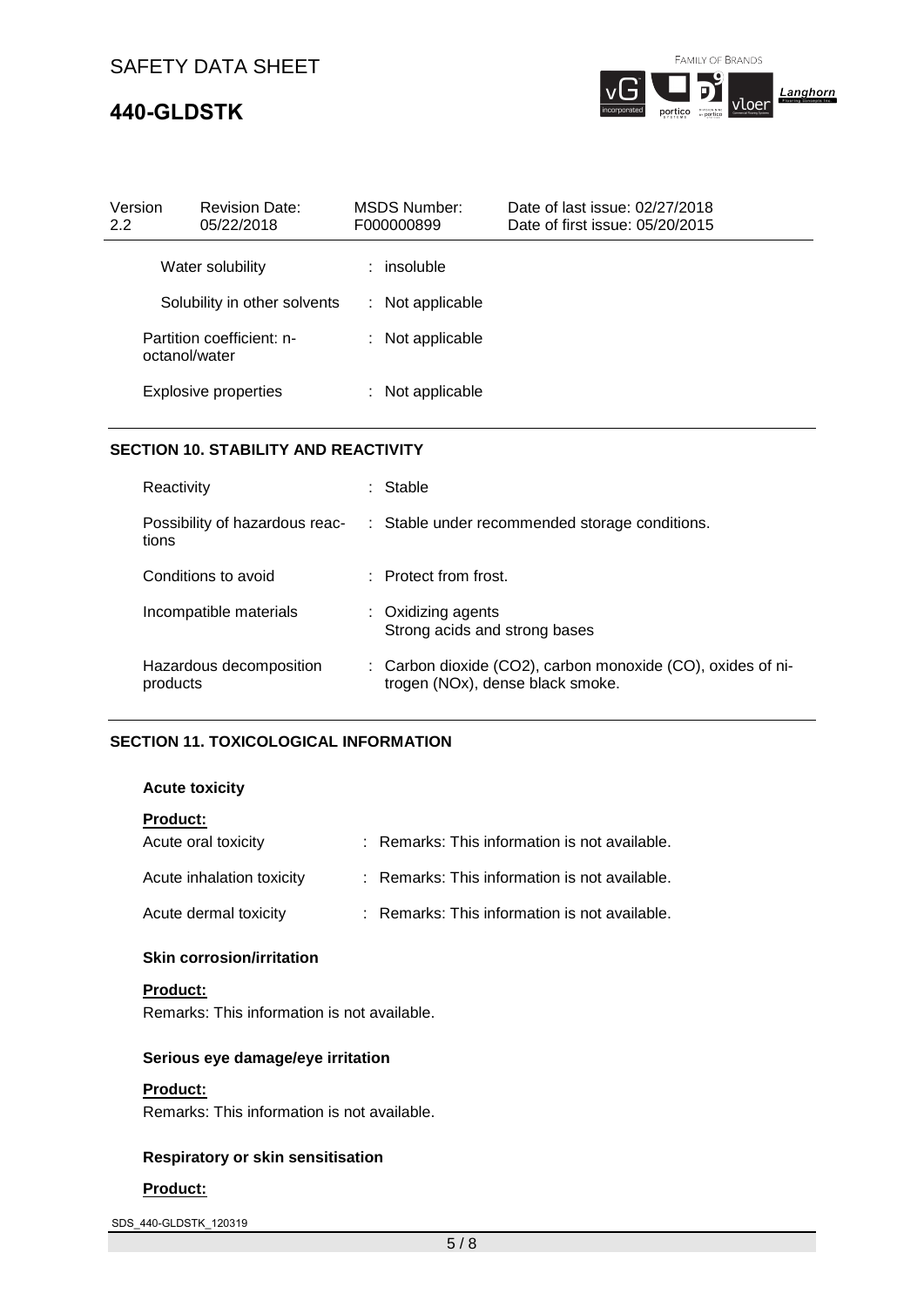# **440-GLDSTK**



portico

| <b>Revision Date:</b><br>Version<br>05/22/2018<br>2.2 | <b>MSDS Number:</b><br>F000000899 | Date of last issue: 02/27/2018<br>Date of first issue: 05/20/2015 |  |
|-------------------------------------------------------|-----------------------------------|-------------------------------------------------------------------|--|
| Water solubility                                      | $:$ insoluble                     |                                                                   |  |
| Solubility in other solvents                          | : Not applicable                  |                                                                   |  |
| Partition coefficient: n-<br>octanol/water            | : Not applicable                  |                                                                   |  |
| <b>Explosive properties</b>                           | : Not applicable                  |                                                                   |  |

## **SECTION 10. STABILITY AND REACTIVITY**

| Reactivity                              | : Stable                                                                                        |  |
|-----------------------------------------|-------------------------------------------------------------------------------------------------|--|
| Possibility of hazardous reac-<br>tions | : Stable under recommended storage conditions.                                                  |  |
| Conditions to avoid                     | $\therefore$ Protect from frost.                                                                |  |
| Incompatible materials                  | : Oxidizing agents<br>Strong acids and strong bases                                             |  |
| Hazardous decomposition<br>products     | : Carbon dioxide (CO2), carbon monoxide (CO), oxides of ni-<br>trogen (NOx), dense black smoke. |  |

## **SECTION 11. TOXICOLOGICAL INFORMATION**

### **Acute toxicity**

| <b>Product:</b>           |                                               |
|---------------------------|-----------------------------------------------|
| Acute oral toxicity       | : Remarks: This information is not available. |
| Acute inhalation toxicity | : Remarks: This information is not available. |
| Acute dermal toxicity     | : Remarks: This information is not available. |

## **Skin corrosion/irritation**

**Product:**

Remarks: This information is not available.

### **Serious eye damage/eye irritation**

### **Product:**

Remarks: This information is not available.

### **Respiratory or skin sensitisation**

#### **Product:**

SDS\_440-GLDSTK\_120319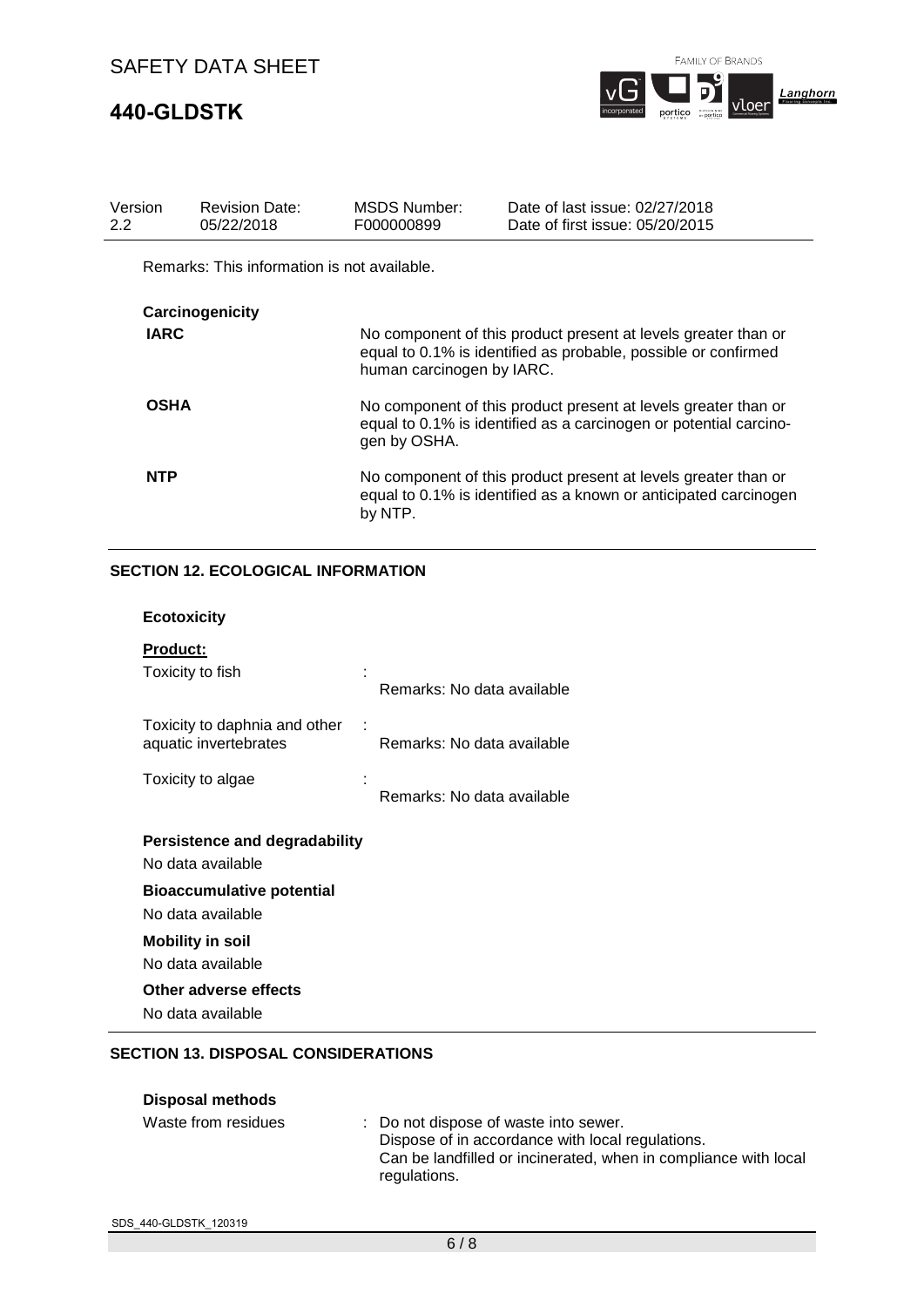# **440-GLDSTK**

FAMILY OF BRANDS



| Version<br>$2.2^{\circ}$ | <b>Revision Date:</b><br>05/22/2018         | <b>MSDS Number:</b><br>F000000899                                                                                                                   | Date of last issue: 02/27/2018<br>Date of first issue: 05/20/2015                                                                  |
|--------------------------|---------------------------------------------|-----------------------------------------------------------------------------------------------------------------------------------------------------|------------------------------------------------------------------------------------------------------------------------------------|
|                          | Remarks: This information is not available. |                                                                                                                                                     |                                                                                                                                    |
|                          | Carcinogenicity                             |                                                                                                                                                     |                                                                                                                                    |
| <b>IARC</b>              |                                             | human carcinogen by IARC.                                                                                                                           | No component of this product present at levels greater than or<br>equal to 0.1% is identified as probable, possible or confirmed   |
| <b>OSHA</b>              |                                             | No component of this product present at levels greater than or<br>equal to 0.1% is identified as a carcinogen or potential carcino-<br>gen by OSHA. |                                                                                                                                    |
| <b>NTP</b>               |                                             | by NTP.                                                                                                                                             | No component of this product present at levels greater than or<br>equal to 0.1% is identified as a known or anticipated carcinogen |

## **SECTION 12. ECOLOGICAL INFORMATION**

| <b>Ecotoxicity</b>                                        |                            |
|-----------------------------------------------------------|----------------------------|
| <b>Product:</b><br>Toxicity to fish                       | Remarks: No data available |
| Toxicity to daphnia and other<br>aquatic invertebrates    | Remarks: No data available |
| Toxicity to algae                                         | Remarks: No data available |
|                                                           |                            |
| <b>Persistence and degradability</b><br>No data available |                            |
| <b>Bioaccumulative potential</b><br>No data available     |                            |
| <b>Mobility in soil</b>                                   |                            |
| No data available                                         |                            |
| Other adverse effects<br>No data available                |                            |

## **SECTION 13. DISPOSAL CONSIDERATIONS**

| <b>Disposal methods</b> |                                                                                                                                                                              |
|-------------------------|------------------------------------------------------------------------------------------------------------------------------------------------------------------------------|
| Waste from residues     | : Do not dispose of waste into sewer.<br>Dispose of in accordance with local regulations.<br>Can be landfilled or incinerated, when in compliance with local<br>regulations. |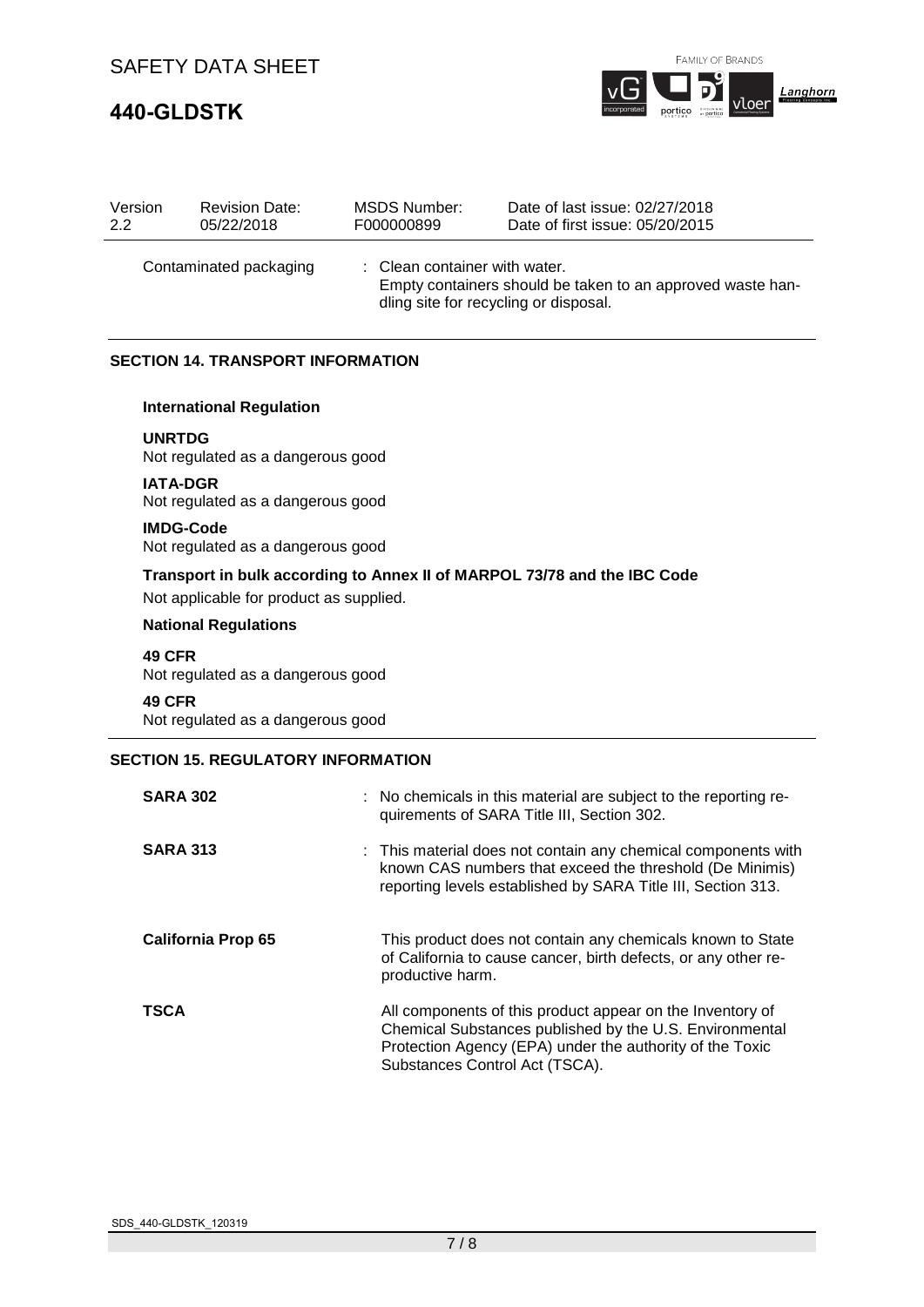# **440-GLDSTK**



| Version<br>2.2                                                                                                                                               | <b>Revision Date:</b><br>05/22/2018                   | <b>MSDS Number:</b><br>F000000899 | Date of last issue: 02/27/2018<br>Date of first issue: 05/20/2015                                            |
|--------------------------------------------------------------------------------------------------------------------------------------------------------------|-------------------------------------------------------|-----------------------------------|--------------------------------------------------------------------------------------------------------------|
| Contaminated packaging<br>Clean container with water.<br>Empty containers should be taken to an approved waste han-<br>dling site for recycling or disposal. |                                                       |                                   |                                                                                                              |
|                                                                                                                                                              | <b>SECTION 14. TRANSPORT INFORMATION</b>              |                                   |                                                                                                              |
|                                                                                                                                                              | <b>International Regulation</b>                       |                                   |                                                                                                              |
| <b>UNRTDG</b>                                                                                                                                                | Not regulated as a dangerous good                     |                                   |                                                                                                              |
|                                                                                                                                                              | <b>IATA-DGR</b><br>Not regulated as a dangerous good  |                                   |                                                                                                              |
|                                                                                                                                                              | <b>IMDG-Code</b><br>Not regulated as a dangerous good |                                   |                                                                                                              |
|                                                                                                                                                              | Not applicable for product as supplied.               |                                   | Transport in bulk according to Annex II of MARPOL 73/78 and the IBC Code                                     |
|                                                                                                                                                              | <b>National Regulations</b>                           |                                   |                                                                                                              |
| <b>49 CFR</b>                                                                                                                                                | Not regulated as a dangerous good                     |                                   |                                                                                                              |
| <b>49 CFR</b>                                                                                                                                                | Not regulated as a dangerous good                     |                                   |                                                                                                              |
|                                                                                                                                                              | <b>SECTION 15. REGULATORY INFORMATION</b>             |                                   |                                                                                                              |
|                                                                                                                                                              | <b>SARA 302</b>                                       |                                   | No chemicals in this material are subject to the reporting re-<br>quirements of SARA Title III, Section 302. |
|                                                                                                                                                              | <b>SARA 313</b>                                       |                                   | $\cdot$ This material does not contain any chemical components with                                          |

| <b>SARA 313</b>           | : This material does not contain any chemical components with<br>known CAS numbers that exceed the threshold (De Minimis)<br>reporting levels established by SARA Title III, Section 313.                          |
|---------------------------|--------------------------------------------------------------------------------------------------------------------------------------------------------------------------------------------------------------------|
| <b>California Prop 65</b> | This product does not contain any chemicals known to State<br>of California to cause cancer, birth defects, or any other re-<br>productive harm.                                                                   |
| <b>TSCA</b>               | All components of this product appear on the Inventory of<br>Chemical Substances published by the U.S. Environmental<br>Protection Agency (EPA) under the authority of the Toxic<br>Substances Control Act (TSCA). |